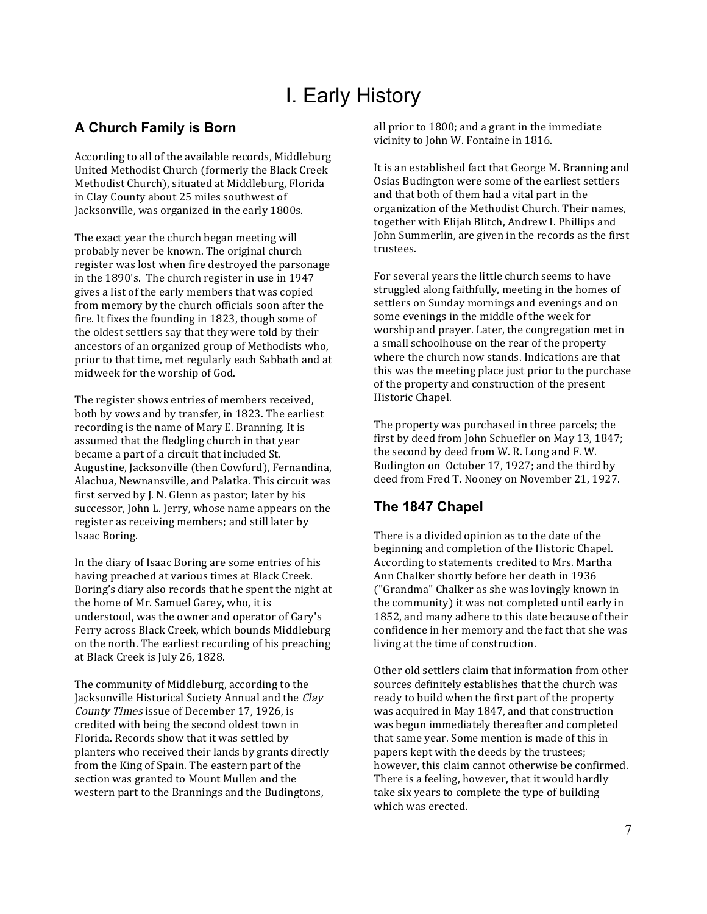# I. Early History

## **A Church Family is Born**

According to all of the available records, Middleburg United Methodist Church (formerly the Black Creek Methodist Church), situated at Middleburg, Florida in Clay County about 25 miles southwest of Jacksonville, was organized in the early 1800s.

The exact year the church began meeting will probably never be known. The original church register was lost when fire destroyed the parsonage in the 1890's. The church register in use in 1947 gives a list of the early members that was copied from memory by the church officials soon after the fire. It fixes the founding in 1823, though some of the oldest settlers say that they were told by their ancestors of an organized group of Methodists who, prior to that time, met regularly each Sabbath and at midweek for the worship of God.

The register shows entries of members received, both by vows and by transfer, in 1823. The earliest recording is the name of Mary E. Branning. It is assumed that the fledgling church in that year became a part of a circuit that included St. Augustine, Jacksonville (then Cowford), Fernandina, Alachua, Newnansville, and Palatka. This circuit was first served by J. N. Glenn as pastor; later by his successor, John L. Jerry, whose name appears on the register as receiving members; and still later by Isaac Boring.

In the diary of Isaac Boring are some entries of his having preached at various times at Black Creek. Boring's diary also records that he spent the night at the home of Mr. Samuel Garey, who, it is understood, was the owner and operator of Gary's Ferry across Black Creek, which bounds Middleburg on the north. The earliest recording of his preaching at Black Creek is July 26, 1828.

The community of Middleburg, according to the Jacksonville Historical Society Annual and the Clay County Times issue of December 17, 1926, is credited with being the second oldest town in Florida. Records show that it was settled by planters who received their lands by grants directly from the King of Spain. The eastern part of the section was granted to Mount Mullen and the western part to the Brannings and the Budingtons,

all prior to 1800; and a grant in the immediate vicinity to John W. Fontaine in 1816.

It is an established fact that George M. Branning and Osias Budington were some of the earliest settlers and that both of them had a vital part in the organization of the Methodist Church. Their names, together with Elijah Blitch, Andrew I. Phillips and John Summerlin, are given in the records as the first trustees.

For several years the little church seems to have struggled along faithfully, meeting in the homes of settlers on Sunday mornings and evenings and on some evenings in the middle of the week for worship and prayer. Later, the congregation met in a small schoolhouse on the rear of the property where the church now stands. Indications are that this was the meeting place just prior to the purchase of the property and construction of the present Historic Chapel.

The property was purchased in three parcels; the first by deed from John Schuefler on May 13, 1847; the second by deed from W. R. Long and F. W. Budington on October 17, 1927; and the third by deed from Fred T. Nooney on November 21, 1927.

## **The 1847 Chapel**

There is a divided opinion as to the date of the beginning and completion of the Historic Chapel. According to statements credited to Mrs. Martha Ann Chalker shortly before her death in 1936 ("Grandma" Chalker as she was lovingly known in the community) it was not completed until early in 1852, and many adhere to this date because of their confidence in her memory and the fact that she was living at the time of construction.

Other old settlers claim that information from other sources definitely establishes that the church was ready to build when the first part of the property was acquired in May 1847, and that construction was begun immediately thereafter and completed that same year. Some mention is made of this in papers kept with the deeds by the trustees; however, this claim cannot otherwise be confirmed. There is a feeling, however, that it would hardly take six years to complete the type of building which was erected.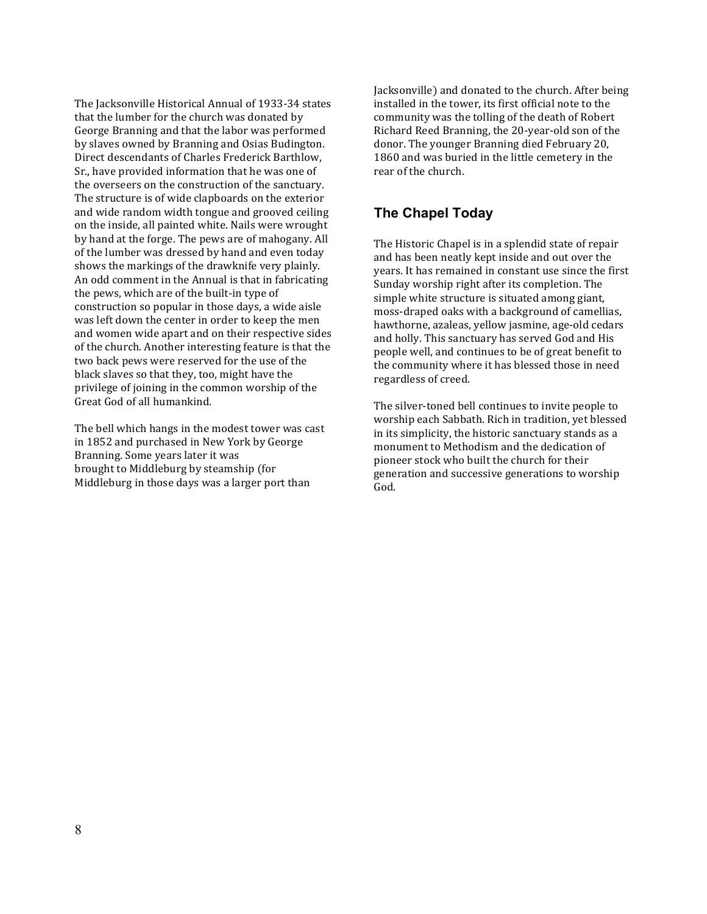The Jacksonville Historical Annual of 1933-34 states that the lumber for the church was donated by George Branning and that the labor was performed by slaves owned by Branning and Osias Budington. Direct descendants of Charles Frederick Barthlow, Sr., have provided information that he was one of the overseers on the construction of the sanctuary. The structure is of wide clapboards on the exterior and wide random width tongue and grooved ceiling on the inside, all painted white. Nails were wrought by hand at the forge. The pews are of mahogany. All of the lumber was dressed by hand and even today shows the markings of the drawknife very plainly. An odd comment in the Annual is that in fabricating the pews, which are of the built-in type of construction so popular in those days, a wide aisle was left down the center in order to keep the men and women wide apart and on their respective sides of the church. Another interesting feature is that the two back pews were reserved for the use of the black slaves so that they, too, might have the privilege of joining in the common worship of the Great God of all humankind.

The bell which hangs in the modest tower was cast in 1852 and purchased in New York by George Branning. Some years later it was brought to Middleburg by steamship (for Middleburg in those days was a larger port than

Jacksonville) and donated to the church. After being installed in the tower, its first official note to the community was the tolling of the death of Robert Richard Reed Branning, the 20-year-old son of the donor. The younger Branning died February 20, 1860 and was buried in the little cemetery in the rear of the church.

### **The Chapel Today**

The Historic Chapel is in a splendid state of repair and has been neatly kept inside and out over the years. It has remained in constant use since the first Sunday worship right after its completion. The simple white structure is situated among giant, moss-draped oaks with a background of camellias, hawthorne, azaleas, yellow jasmine, age-old cedars and holly. This sanctuary has served God and His people well, and continues to be of great benefit to the community where it has blessed those in need regardless of creed.

The silver-toned bell continues to invite people to worship each Sabbath. Rich in tradition, yet blessed in its simplicity, the historic sanctuary stands as a monument to Methodism and the dedication of pioneer stock who built the church for their generation and successive generations to worship God.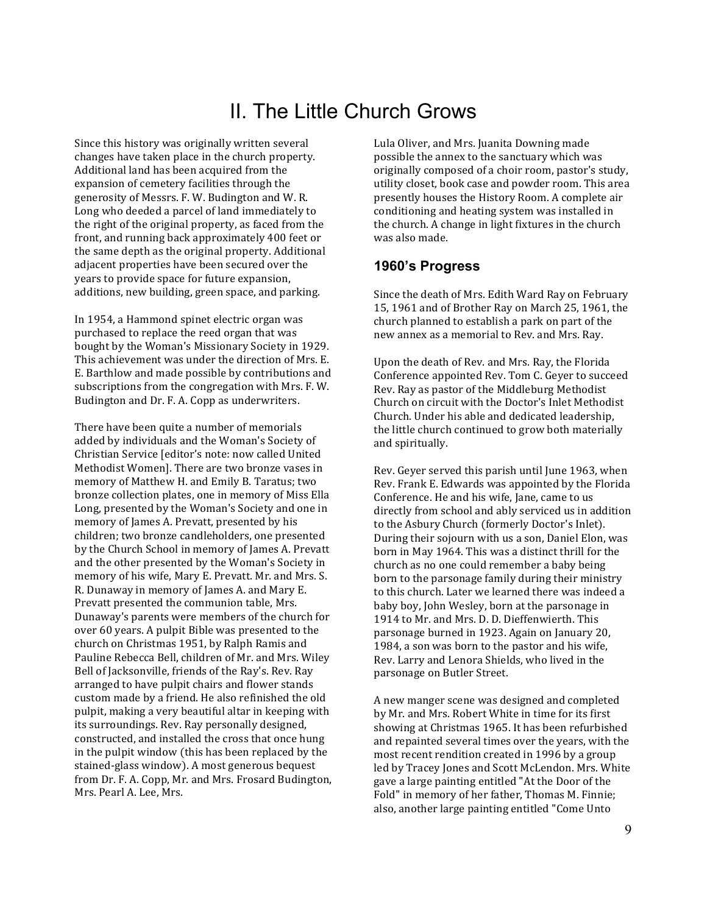# II. The Little Church Grows

Since this history was originally written several changes have taken place in the church property. Additional land has been acquired from the expansion of cemetery facilities through the generosity of Messrs. F. W. Budington and W. R. Long who deeded a parcel of land immediately to the right of the original property, as faced from the front, and running back approximately 400 feet or the same depth as the original property. Additional adjacent properties have been secured over the years to provide space for future expansion, additions, new building, green space, and parking.

In 1954, a Hammond spinet electric organ was purchased to replace the reed organ that was bought by the Woman's Missionary Society in 1929. This achievement was under the direction of Mrs. E. E. Barthlow and made possible by contributions and subscriptions from the congregation with Mrs. F. W. Budington and Dr. F. A. Copp as underwriters.

There have been quite a number of memorials added by individuals and the Woman's Society of Christian Service [editor's note: now called United Methodist Women]. There are two bronze vases in memory of Matthew H. and Emily B. Taratus; two bronze collection plates, one in memory of Miss Ella Long, presented by the Woman's Society and one in memory of James A. Prevatt, presented by his children; two bronze candleholders, one presented by the Church School in memory of James A. Prevatt and the other presented by the Woman's Society in memory of his wife, Mary E. Prevatt. Mr. and Mrs. S. R. Dunaway in memory of James A. and Mary E. Prevatt presented the communion table, Mrs. Dunaway's parents were members of the church for over 60 years. A pulpit Bible was presented to the church on Christmas 1951, by Ralph Ramis and Pauline Rebecca Bell, children of Mr. and Mrs. Wiley Bell of Jacksonville, friends of the Ray's. Rev. Ray arranged to have pulpit chairs and flower stands custom made by a friend. He also refinished the old pulpit, making a very beautiful altar in keeping with its surroundings. Rev. Ray personally designed, constructed, and installed the cross that once hung in the pulpit window (this has been replaced by the stained-glass window). A most generous bequest from Dr. F. A. Copp, Mr. and Mrs. Frosard Budington, Mrs. Pearl A. Lee, Mrs.

Lula Oliver, and Mrs. Juanita Downing made possible the annex to the sanctuary which was originally composed of a choir room, pastor's study, utility closet, book case and powder room. This area presently houses the History Room. A complete air conditioning and heating system was installed in the church. A change in light fixtures in the church was also made.

### **1960's Progress**

Since the death of Mrs. Edith Ward Ray on February 15, 1961 and of Brother Ray on March 25, 1961, the church planned to establish a park on part of the new annex as a memorial to Rev. and Mrs. Ray.

Upon the death of Rev. and Mrs. Ray, the Florida Conference appointed Rev. Tom C. Geyer to succeed Rev. Ray as pastor of the Middleburg Methodist Church on circuit with the Doctor's Inlet Methodist Church. Under his able and dedicated leadership, the little church continued to grow both materially and spiritually.

Rev. Geyer served this parish until June 1963, when Rev. Frank E. Edwards was appointed by the Florida Conference. He and his wife, Jane, came to us directly from school and ably serviced us in addition to the Asbury Church (formerly Doctor's Inlet). During their sojourn with us a son, Daniel Elon, was born in May 1964. This was a distinct thrill for the church as no one could remember a baby being born to the parsonage family during their ministry to this church. Later we learned there was indeed a baby boy, John Wesley, born at the parsonage in 1914 to Mr. and Mrs. D. D. Dieffenwierth. This parsonage burned in 1923. Again on January 20, 1984, a son was born to the pastor and his wife, Rev. Larry and Lenora Shields, who lived in the parsonage on Butler Street.

A new manger scene was designed and completed by Mr. and Mrs. Robert White in time for its first showing at Christmas 1965. It has been refurbished and repainted several times over the years, with the most recent rendition created in 1996 by a group led by Tracey Jones and Scott McLendon. Mrs. White gave a large painting entitled "At the Door of the Fold" in memory of her father, Thomas M. Finnie; also, another large painting entitled "Come Unto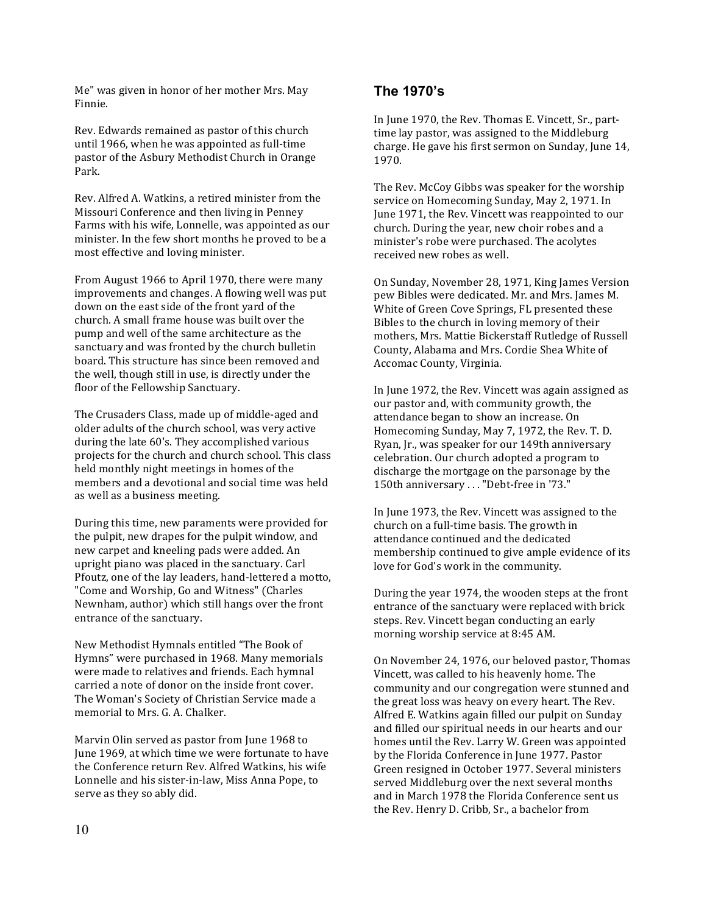Me" was given in honor of her mother Mrs. May Finnie.

Rev. Edwards remained as pastor of this church until 1966, when he was appointed as full-time pastor of the Asbury Methodist Church in Orange Park.

Rev. Alfred A. Watkins, a retired minister from the Missouri Conference and then living in Penney Farms with his wife, Lonnelle, was appointed as our minister. In the few short months he proved to be a most effective and loving minister.

From August 1966 to April 1970, there were many improvements and changes. A flowing well was put down on the east side of the front yard of the church. A small frame house was built over the pump and well of the same architecture as the sanctuary and was fronted by the church bulletin board. This structure has since been removed and the well, though still in use, is directly under the floor of the Fellowship Sanctuary.

The Crusaders Class, made up of middle-aged and older adults of the church school, was very active during the late 60's. They accomplished various projects for the church and church school. This class held monthly night meetings in homes of the members and a devotional and social time was held as well as a business meeting.

During this time, new paraments were provided for the pulpit, new drapes for the pulpit window, and new carpet and kneeling pads were added. An upright piano was placed in the sanctuary. Carl Pfoutz, one of the lay leaders, hand-lettered a motto, "Come and Worship, Go and Witness" (Charles Newnham, author) which still hangs over the front entrance of the sanctuary.

New Methodist Hymnals entitled "The Book of Hymns" were purchased in 1968. Many memorials were made to relatives and friends. Each hymnal carried a note of donor on the inside front cover. The Woman's Society of Christian Service made a memorial to Mrs. G. A. Chalker.

Marvin Olin served as pastor from June 1968 to June 1969, at which time we were fortunate to have the Conference return Rev. Alfred Watkins, his wife Lonnelle and his sister-in-law, Miss Anna Pope, to serve as they so ably did.

### **The 1970's**

In June 1970, the Rev. Thomas E. Vincett, Sr., parttime lay pastor, was assigned to the Middleburg charge. He gave his first sermon on Sunday, June 14, 1970.

The Rev. McCoy Gibbs was speaker for the worship service on Homecoming Sunday, May 2, 1971. In June 1971, the Rev. Vincett was reappointed to our church. During the year, new choir robes and a minister's robe were purchased. The acolytes received new robes as well.

On Sunday, November 28, 1971, King James Version pew Bibles were dedicated. Mr. and Mrs. James M. White of Green Cove Springs, FL presented these Bibles to the church in loving memory of their mothers, Mrs. Mattie Bickerstaff Rutledge of Russell County, Alabama and Mrs. Cordie Shea White of Accomac County, Virginia.

In June 1972, the Rev. Vincett was again assigned as our pastor and, with community growth, the attendance began to show an increase. On Homecoming Sunday, May 7, 1972, the Rev. T. D. Ryan, Jr., was speaker for our 149th anniversary celebration. Our church adopted a program to discharge the mortgage on the parsonage by the 150th anniversary . . . "Debt-free in '73."

In June 1973, the Rev. Vincett was assigned to the church on a full-time basis. The growth in attendance continued and the dedicated membership continued to give ample evidence of its love for God's work in the community.

During the year 1974, the wooden steps at the front entrance of the sanctuary were replaced with brick steps. Rev. Vincett began conducting an early morning worship service at 8:45 AM.

On November 24, 1976, our beloved pastor, Thomas Vincett, was called to his heavenly home. The community and our congregation were stunned and the great loss was heavy on every heart. The Rev. Alfred E. Watkins again filled our pulpit on Sunday and filled our spiritual needs in our hearts and our homes until the Rev. Larry W. Green was appointed by the Florida Conference in June 1977. Pastor Green resigned in October 1977. Several ministers served Middleburg over the next several months and in March 1978 the Florida Conference sent us the Rev. Henry D. Cribb, Sr., a bachelor from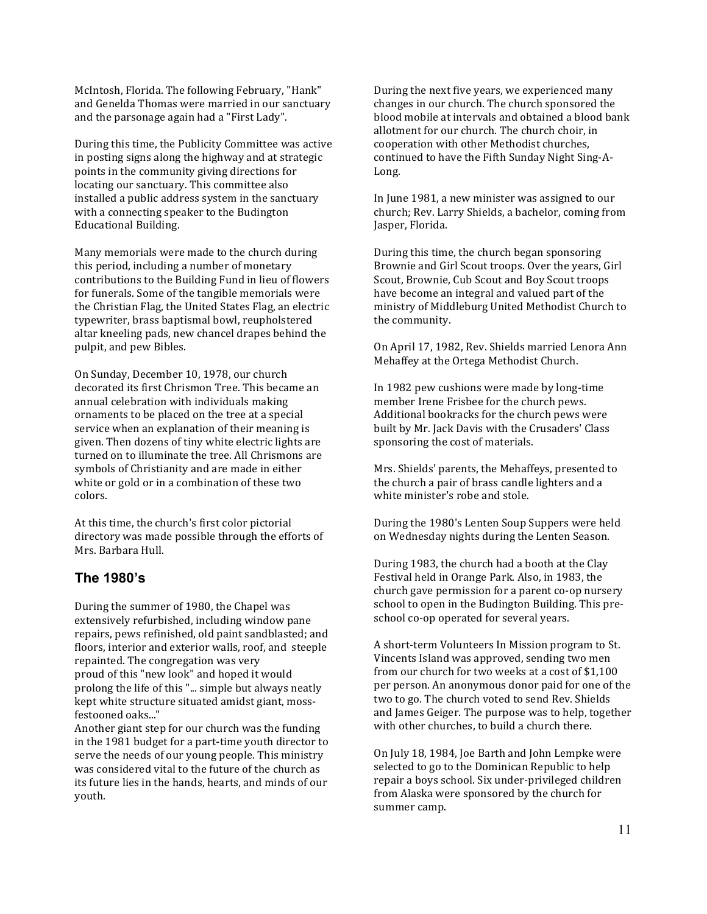McIntosh, Florida. The following February, "Hank" and Genelda Thomas were married in our sanctuary and the parsonage again had a "First Lady".

During this time, the Publicity Committee was active in posting signs along the highway and at strategic points in the community giving directions for locating our sanctuary. This committee also installed a public address system in the sanctuary with a connecting speaker to the Budington Educational Building.

Many memorials were made to the church during this period, including a number of monetary contributions to the Building Fund in lieu of flowers for funerals. Some of the tangible memorials were the Christian Flag, the United States Flag, an electric typewriter, brass baptismal bowl, reupholstered altar kneeling pads, new chancel drapes behind the pulpit, and pew Bibles.

On Sunday, December 10, 1978, our church decorated its first Chrismon Tree. This became an annual celebration with individuals making ornaments to be placed on the tree at a special service when an explanation of their meaning is given. Then dozens of tiny white electric lights are turned on to illuminate the tree. All Chrismons are symbols of Christianity and are made in either white or gold or in a combination of these two colors.

At this time, the church's first color pictorial directory was made possible through the efforts of Mrs. Barbara Hull.

#### **The 1980's**

During the summer of 1980, the Chapel was extensively refurbished, including window pane repairs, pews refinished, old paint sandblasted; and floors, interior and exterior walls, roof, and steeple repainted. The congregation was very proud of this "new look" and hoped it would prolong the life of this "... simple but always neatly kept white structure situated amidst giant, mossfestooned oaks..."

Another giant step for our church was the funding in the 1981 budget for a part-time youth director to serve the needs of our young people. This ministry was considered vital to the future of the church as its future lies in the hands, hearts, and minds of our youth.

During the next five years, we experienced many changes in our church. The church sponsored the blood mobile at intervals and obtained a blood bank allotment for our church. The church choir, in cooperation with other Methodist churches, continued to have the Fifth Sunday Night Sing-A-Long.

In June 1981, a new minister was assigned to our church; Rev. Larry Shields, a bachelor, coming from Jasper, Florida.

During this time, the church began sponsoring Brownie and Girl Scout troops. Over the years, Girl Scout, Brownie, Cub Scout and Boy Scout troops have become an integral and valued part of the ministry of Middleburg United Methodist Church to the community.

On April 17, 1982, Rev. Shields married Lenora Ann Mehaffey at the Ortega Methodist Church.

In 1982 pew cushions were made by long-time member Irene Frisbee for the church pews. Additional bookracks for the church pews were built by Mr. Jack Davis with the Crusaders' Class sponsoring the cost of materials.

Mrs. Shields' parents, the Mehaffeys, presented to the church a pair of brass candle lighters and a white minister's robe and stole.

During the 1980's Lenten Soup Suppers were held on Wednesday nights during the Lenten Season.

During 1983, the church had a booth at the Clay Festival held in Orange Park. Also, in 1983, the church gave permission for a parent co-op nursery school to open in the Budington Building. This preschool co-op operated for several years.

A short-term Volunteers In Mission program to St. Vincents Island was approved, sending two men from our church for two weeks at a cost of \$1,100 per person. An anonymous donor paid for one of the two to go. The church voted to send Rev. Shields and James Geiger. The purpose was to help, together with other churches, to build a church there.

On July 18, 1984, Joe Barth and John Lempke were selected to go to the Dominican Republic to help repair a boys school. Six under-privileged children from Alaska were sponsored by the church for summer camp.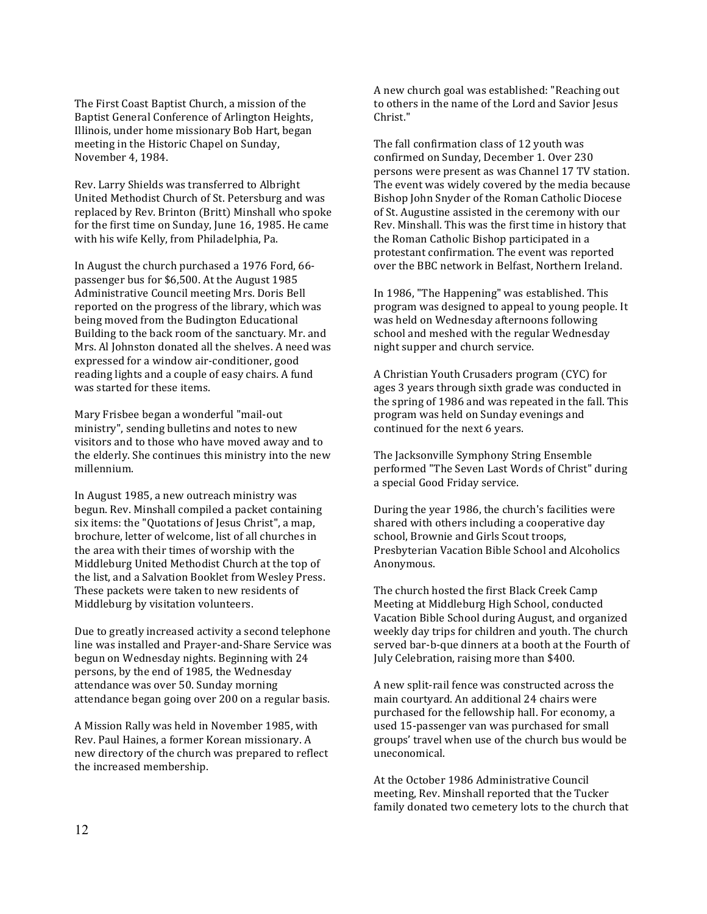The First Coast Baptist Church, a mission of the Baptist General Conference of Arlington Heights, Illinois, under home missionary Bob Hart, began meeting in the Historic Chapel on Sunday, November 4, 1984.

Rev. Larry Shields was transferred to Albright United Methodist Church of St. Petersburg and was replaced by Rev. Brinton (Britt) Minshall who spoke for the first time on Sunday, June 16, 1985. He came with his wife Kelly, from Philadelphia, Pa.

In August the church purchased a 1976 Ford, 66 passenger bus for \$6,500. At the August 1985 Administrative Council meeting Mrs. Doris Bell reported on the progress of the library, which was being moved from the Budington Educational Building to the back room of the sanctuary. Mr. and Mrs. Al Johnston donated all the shelves. A need was expressed for a window air-conditioner, good reading lights and a couple of easy chairs. A fund was started for these items.

Mary Frisbee began a wonderful "mail-out ministry", sending bulletins and notes to new visitors and to those who have moved away and to the elderly. She continues this ministry into the new millennium.

In August 1985, a new outreach ministry was begun. Rev. Minshall compiled a packet containing six items: the "Quotations of Jesus Christ", a map, brochure, letter of welcome, list of all churches in the area with their times of worship with the Middleburg United Methodist Church at the top of the list, and a Salvation Booklet from Wesley Press. These packets were taken to new residents of Middleburg by visitation volunteers.

Due to greatly increased activity a second telephone line was installed and Prayer-and-Share Service was begun on Wednesday nights. Beginning with 24 persons, by the end of 1985, the Wednesday attendance was over 50. Sunday morning attendance began going over 200 on a regular basis.

A Mission Rally was held in November 1985, with Rev. Paul Haines, a former Korean missionary. A new directory of the church was prepared to reflect the increased membership.

A new church goal was established: "Reaching out to others in the name of the Lord and Savior Jesus Christ."

The fall confirmation class of 12 youth was confirmed on Sunday, December 1. Over 230 persons were present as was Channel 17 TV station. The event was widely covered by the media because Bishop John Snyder of the Roman Catholic Diocese of St. Augustine assisted in the ceremony with our Rev. Minshall. This was the first time in history that the Roman Catholic Bishop participated in a protestant confirmation. The event was reported over the BBC network in Belfast, Northern Ireland.

In 1986, "The Happening" was established. This program was designed to appeal to young people. It was held on Wednesday afternoons following school and meshed with the regular Wednesday night supper and church service.

A Christian Youth Crusaders program (CYC) for ages 3 years through sixth grade was conducted in the spring of 1986 and was repeated in the fall. This program was held on Sunday evenings and continued for the next 6 years.

The Jacksonville Symphony String Ensemble performed "The Seven Last Words of Christ" during a special Good Friday service.

During the year 1986, the church's facilities were shared with others including a cooperative day school, Brownie and Girls Scout troops, Presbyterian Vacation Bible School and Alcoholics Anonymous.

The church hosted the first Black Creek Camp Meeting at Middleburg High School, conducted Vacation Bible School during August, and organized weekly day trips for children and youth. The church served bar-b-que dinners at a booth at the Fourth of July Celebration, raising more than \$400.

A new split-rail fence was constructed across the main courtyard. An additional 24 chairs were purchased for the fellowship hall. For economy, a used 15-passenger van was purchased for small groups' travel when use of the church bus would be uneconomical.

At the October 1986 Administrative Council meeting, Rev. Minshall reported that the Tucker family donated two cemetery lots to the church that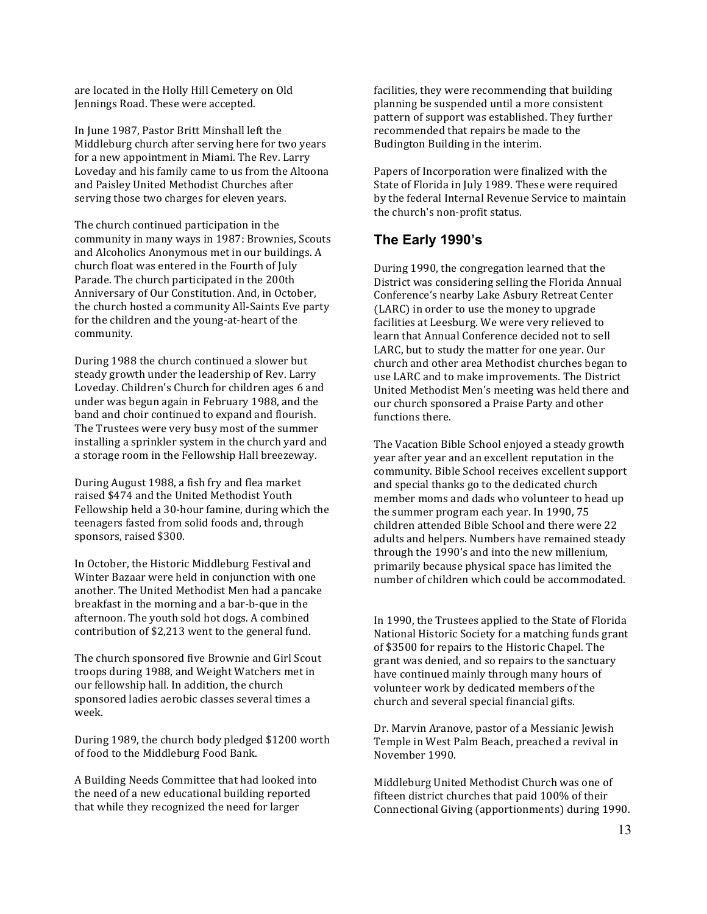are located in the Holly Hill Cemetery on Old Jennings Road. These were accepted.

In June 1987, Pastor Britt Minshall left the Middleburg church after serving here for two years for a new appointment in Miami. The Rev. Larry Loveday and his family came to us from the Altoona and Paisley United Methodist Churches after serving those two charges for eleven years.

The church continued participation in the community in many ways in 1987: Brownies, Scouts and Alcoholics Anonymous met in our buildings. A church float was entered in the Fourth of July Parade. The church participated in the 200th Anniversary of Our Constitution. And, in October, the church hosted a community All-Saints Eve party for the children and the young-at-heart of the community.

During 1988 the church continued a slower but steady growth under the leadership of Rev. Larry Loveday. Children's Church for children ages 6 and under was begun again in February 1988, and the band and choir continued to expand and flourish. The Trustees were very busy most of the summer installing a sprinkler system in the church yard and a storage room in the Fellowship Hall breezeway.

During August 1988, a fish fry and flea market raised \$474 and the United Methodist Youth Fellowship held a 30-hour famine, during which the teenagers fasted from solid foods and, through sponsors, raised \$300.

In October, the Historic Middleburg Festival and Winter Bazaar were held in conjunction with one another. The United Methodist Men had a pancake breakfast in the morning and a bar-b-que in the afternoon. The youth sold hot dogs. A combined contribution of \$2,213 went to the general fund.

The church sponsored five Brownie and Girl Scout troops during 1988, and Weight Watchers met in our fellowship hall. In addition, the church sponsored ladies aerobic classes several times a week.

During 1989, the church body pledged \$1200 worth of food to the Middleburg Food Bank.

A Building Needs Committee that had looked into the need of a new educational building reported that while they recognized the need for larger

facilities, they were recommending that building planning be suspended until a more consistent pattern of support was established. They further recommended that repairs be made to the Budington Building in the interim.

Papers of Incorporation were finalized with the State of Florida in July 1989. These were required by the federal Internal Revenue Service to maintain the church's non-profit status.

### **The Early 1990's**

During 1990, the congregation learned that the District was considering selling the Florida Annual Conference's nearby Lake Asbury Retreat Center (LARC) in order to use the money to upgrade facilities at Leesburg. We were very relieved to learn that Annual Conference decided not to sell LARC, but to study the matter for one year. Our church and other area Methodist churches began to use LARC and to make improvements. The District United Methodist Men's meeting was held there and our church sponsored a Praise Party and other functions there.

The Vacation Bible School enjoyed a steady growth year after year and an excellent reputation in the community. Bible School receives excellent support and special thanks go to the dedicated church member moms and dads who volunteer to head up the summer program each year. In 1990, 75 children attended Bible School and there were 22 adults and helpers. Numbers have remained steady through the 1990's and into the new millenium, primarily because physical space has limited the number of children which could be accommodated.

In 1990, the Trustees applied to the State of Florida National Historic Society for a matching funds grant of \$3500 for repairs to the Historic Chapel. The grant was denied, and so repairs to the sanctuary have continued mainly through many hours of volunteer work by dedicated members of the church and several special financial gifts.

Dr. Marvin Aranove, pastor of a Messianic Jewish Temple in West Palm Beach, preached a revival in November 1990.

Middleburg United Methodist Church was one of fifteen district churches that paid 100% of their Connectional Giving (apportionments) during 1990.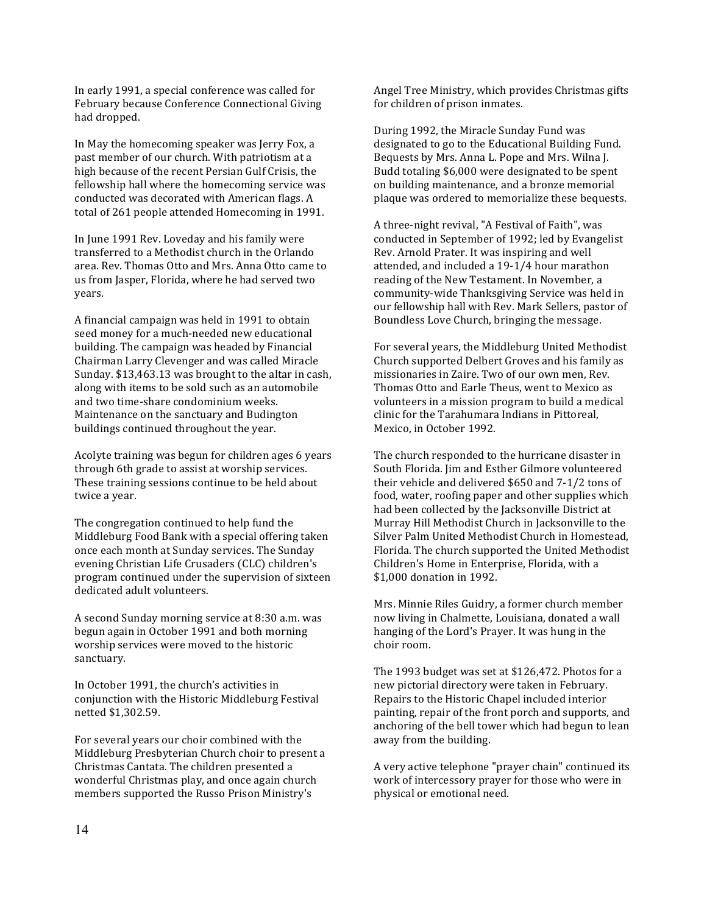In early 1991, a special conference was called for February because Conference Connectional Giving had dropped.

In May the homecoming speaker was Jerry Fox, a past member of our church. With patriotism at a high because of the recent Persian Gulf Crisis, the fellowship hall where the homecoming service was conducted was decorated with American flags. A total of 261 people attended Homecoming in 1991.

In June 1991 Rev. Loveday and his family were transferred to a Methodist church in the Orlando area. Rev. Thomas Otto and Mrs. Anna Otto came to us from Jasper, Florida, where he had served two years.

A financial campaign was held in 1991 to obtain seed money for a much-needed new educational building. The campaign was headed by Financial Chairman Larry Clevenger and was called Miracle Sunday. \$13,463.13 was brought to the altar in cash, along with items to be sold such as an automobile and two time-share condominium weeks. Maintenance on the sanctuary and Budington buildings continued throughout the year.

Acolyte training was begun for children ages 6 years through 6th grade to assist at worship services. These training sessions continue to be held about twice a year.

The congregation continued to help fund the Middleburg Food Bank with a special offering taken once each month at Sunday services. The Sunday evening Christian Life Crusaders (CLC) children's program continued under the supervision of sixteen dedicated adult volunteers.

A second Sunday morning service at 8:30 a.m. was begun again in October 1991 and both morning worship services were moved to the historic sanctuary.

In October 1991, the church's activities in conjunction with the Historic Middleburg Festival netted \$1,302.59.

For several years our choir combined with the Middleburg Presbyterian Church choir to present a Christmas Cantata. The children presented a wonderful Christmas play, and once again church members supported the Russo Prison Ministry's

Angel Tree Ministry, which provides Christmas gifts for children of prison inmates.

During 1992, the Miracle Sunday Fund was designated to go to the Educational Building Fund. Bequests by Mrs. Anna L. Pope and Mrs. Wilna J. Budd totaling \$6,000 were designated to be spent on building maintenance, and a bronze memorial plaque was ordered to memorialize these bequests.

A three-night revival, "A Festival of Faith", was conducted in September of 1992; led by Evangelist Rev. Arnold Prater. It was inspiring and well attended, and included a 19-1/4 hour marathon reading of the New Testament. In November, a community-wide Thanksgiving Service was held in our fellowship hall with Rev. Mark Sellers, pastor of Boundless Love Church, bringing the message.

For several years, the Middleburg United Methodist Church supported Delbert Groves and his family as missionaries in Zaire. Two of our own men, Rev. Thomas Otto and Earle Theus, went to Mexico as volunteers in a mission program to build a medical clinic for the Tarahumara Indians in Pittoreal, Mexico, in October 1992.

The church responded to the hurricane disaster in South Florida. Jim and Esther Gilmore volunteered their vehicle and delivered \$650 and 7-1/2 tons of food, water, roofing paper and other supplies which had been collected by the Jacksonville District at Murray Hill Methodist Church in Jacksonville to the Silver Palm United Methodist Church in Homestead, Florida. The church supported the United Methodist Children's Home in Enterprise, Florida, with a \$1,000 donation in 1992.

Mrs. Minnie Riles Guidry, a former church member now living in Chalmette, Louisiana, donated a wall hanging of the Lord's Prayer. It was hung in the choir room.

The 1993 budget was set at \$126,472. Photos for a new pictorial directory were taken in February. Repairs to the Historic Chapel included interior painting, repair of the front porch and supports, and anchoring of the bell tower which had begun to lean away from the building.

A very active telephone "prayer chain" continued its work of intercessory prayer for those who were in physical or emotional need.